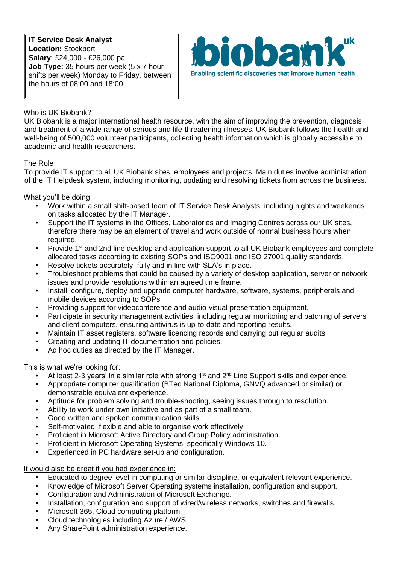**IT Service Desk Analyst Location:** Stockport **Salary**: £24,000 - £26,000 pa **Job Type:** 35 hours per week (5 x 7 hour shifts per week) Monday to Friday, between the hours of 08:00 and 18:00



# Who is UK Biobank?

UK Biobank is a major international health resource, with the aim of improving the prevention, diagnosis and treatment of a wide range of serious and life-threatening illnesses. UK Biobank follows the health and well-being of 500,000 volunteer participants, collecting health information which is globally accessible to academic and health researchers.

## The Role

To provide IT support to all UK Biobank sites, employees and projects. Main duties involve administration of the IT Helpdesk system, including monitoring, updating and resolving tickets from across the business.

### What you'll be doing:

- Work within a small shift-based team of IT Service Desk Analysts, including nights and weekends on tasks allocated by the IT Manager.
- Support the IT systems in the Offices, Laboratories and Imaging Centres across our UK sites, therefore there may be an element of travel and work outside of normal business hours when required.
- Provide 1<sup>st</sup> and 2nd line desktop and application support to all UK Biobank employees and complete allocated tasks according to existing SOPs and ISO9001 and ISO 27001 quality standards.
- Resolve tickets accurately, fully and in line with SLA's in place.
- Troubleshoot problems that could be caused by a variety of desktop application, server or network issues and provide resolutions within an agreed time frame.
- Install, configure, deploy and upgrade computer hardware, software, systems, peripherals and mobile devices according to SOPs.
- Providing support for videoconference and audio-visual presentation equipment.
- Participate in security management activities, including regular monitoring and patching of servers and client computers, ensuring antivirus is up-to-date and reporting results.
- Maintain IT asset registers, software licencing records and carrying out regular audits.
- Creating and updating IT documentation and policies.
- Ad hoc duties as directed by the IT Manager.

#### This is what we're looking for:

- At least 2-3 years' in a similar role with strong 1<sup>st</sup> and 2<sup>nd</sup> Line Support skills and experience.
- Appropriate computer qualification (BTec National Diploma, GNVQ advanced or similar) or demonstrable equivalent experience.
- Aptitude for problem solving and trouble-shooting, seeing issues through to resolution.
- Ability to work under own initiative and as part of a small team.
- Good written and spoken communication skills.
- Self-motivated, flexible and able to organise work effectively.
- Proficient in Microsoft Active Directory and Group Policy administration.
- Proficient in Microsoft Operating Systems, specifically Windows 10.
- Experienced in PC hardware set-up and configuration.

#### It would also be great if you had experience in:

- Educated to degree level in computing or similar discipline, or equivalent relevant experience.
- Knowledge of Microsoft Server Operating systems installation, configuration and support.
- Configuration and Administration of Microsoft Exchange.
- Installation, configuration and support of wired/wireless networks, switches and firewalls.
- Microsoft 365, Cloud computing platform.
- Cloud technologies including Azure / AWS.
- Any SharePoint administration experience.